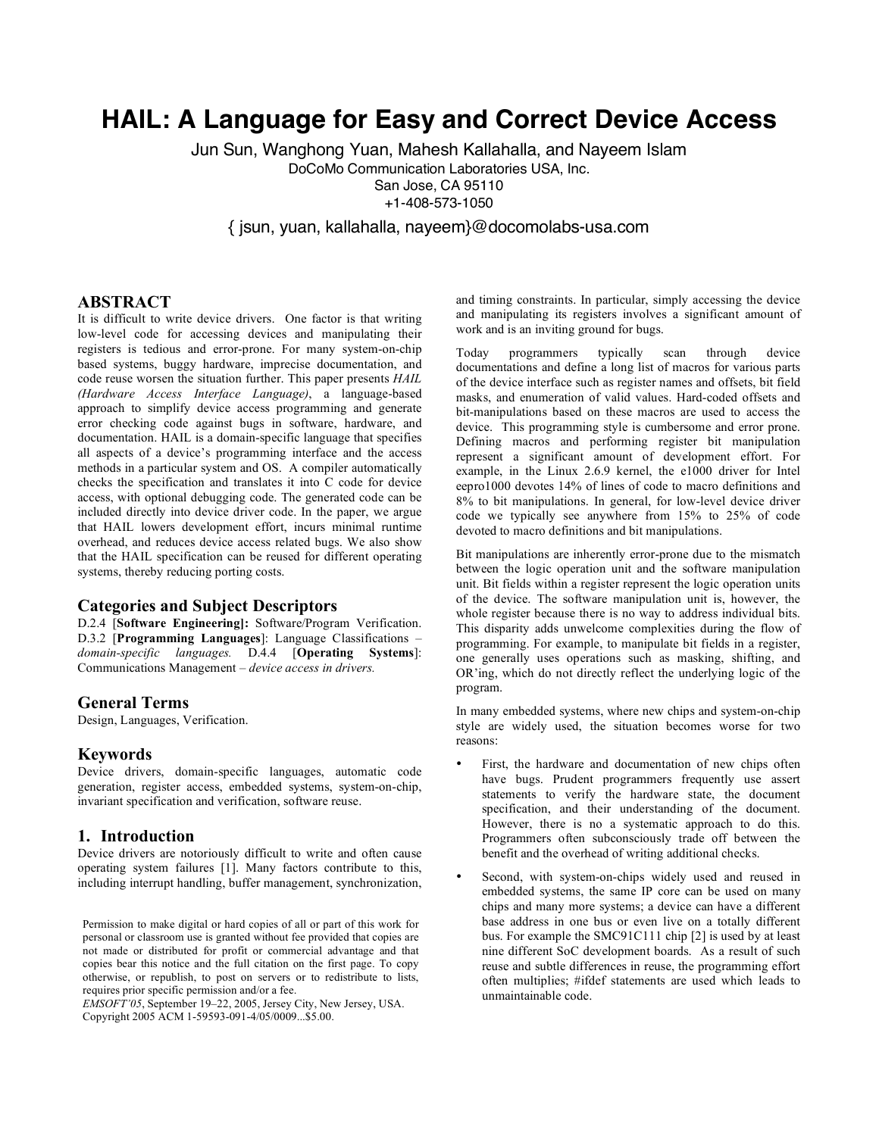# **HAIL: A Language for Easy and Correct Device Access**

Jun Sun, Wanghong Yuan, Mahesh Kallahalla, and Nayeem Islam

DoCoMo Communication Laboratories USA, Inc.

San Jose, CA 95110

+1-408-573-1050

{ jsun, yuan, kallahalla, nayeem}@docomolabs-usa.com

# **ABSTRACT**

It is difficult to write device drivers. One factor is that writing low-level code for accessing devices and manipulating their registers is tedious and error-prone. For many system-on-chip based systems, buggy hardware, imprecise documentation, and code reuse worsen the situation further. This paper presents *HAIL (Hardware Access Interface Language)*, a language-based approach to simplify device access programming and generate error checking code against bugs in software, hardware, and documentation. HAIL is a domain-specific language that specifies all aspects of a device's programming interface and the access methods in a particular system and OS. A compiler automatically checks the specification and translates it into C code for device access, with optional debugging code. The generated code can be included directly into device driver code. In the paper, we argue that HAIL lowers development effort, incurs minimal runtime overhead, and reduces device access related bugs. We also show that the HAIL specification can be reused for different operating systems, thereby reducing porting costs.

#### **Categories and Subject Descriptors**

D.2.4 [**Software Engineering]:** Software/Program Verification. D.3.2 [**Programming Languages**]: Language Classifications – *domain-specific languages.* D.4.4 [**Operating Systems**]: Communications Management – *device access in drivers.*

# **General Terms**

Design, Languages, Verification.

### **Keywords**

Device drivers, domain-specific languages, automatic code generation, register access, embedded systems, system-on-chip, invariant specification and verification, software reuse.

### **1. Introduction**

Device drivers are notoriously difficult to write and often cause operating system failures [1]. Many factors contribute to this, including interrupt handling, buffer management, synchronization,

*EMSOFT'05*, September 19–22, 2005, Jersey City, New Jersey, USA. Copyright 2005 ACM 1-59593-091-4/05/0009...\$5.00.

and timing constraints. In particular, simply accessing the device and manipulating its registers involves a significant amount of work and is an inviting ground for bugs.

Today programmers typically scan through device documentations and define a long list of macros for various parts of the device interface such as register names and offsets, bit field masks, and enumeration of valid values. Hard-coded offsets and bit-manipulations based on these macros are used to access the device. This programming style is cumbersome and error prone. Defining macros and performing register bit manipulation represent a significant amount of development effort. For example, in the Linux 2.6.9 kernel, the e1000 driver for Intel eepro1000 devotes 14% of lines of code to macro definitions and 8% to bit manipulations. In general, for low-level device driver code we typically see anywhere from 15% to 25% of code devoted to macro definitions and bit manipulations.

Bit manipulations are inherently error-prone due to the mismatch between the logic operation unit and the software manipulation unit. Bit fields within a register represent the logic operation units of the device. The software manipulation unit is, however, the whole register because there is no way to address individual bits. This disparity adds unwelcome complexities during the flow of programming. For example, to manipulate bit fields in a register, one generally uses operations such as masking, shifting, and OR'ing, which do not directly reflect the underlying logic of the program.

In many embedded systems, where new chips and system-on-chip style are widely used, the situation becomes worse for two reasons:

- First, the hardware and documentation of new chips often have bugs. Prudent programmers frequently use assert statements to verify the hardware state, the document specification, and their understanding of the document. However, there is no a systematic approach to do this. Programmers often subconsciously trade off between the benefit and the overhead of writing additional checks.
- Second, with system-on-chips widely used and reused in embedded systems, the same IP core can be used on many chips and many more systems; a device can have a different base address in one bus or even live on a totally different bus. For example the SMC91C111 chip [2] is used by at least nine different SoC development boards. As a result of such reuse and subtle differences in reuse, the programming effort often multiplies; #ifdef statements are used which leads to unmaintainable code.

Permission to make digital or hard copies of all or part of this work for personal or classroom use is granted without fee provided that copies are not made or distributed for profit or commercial advantage and that copies bear this notice and the full citation on the first page. To copy otherwise, or republish, to post on servers or to redistribute to lists, requires prior specific permission and/or a fee.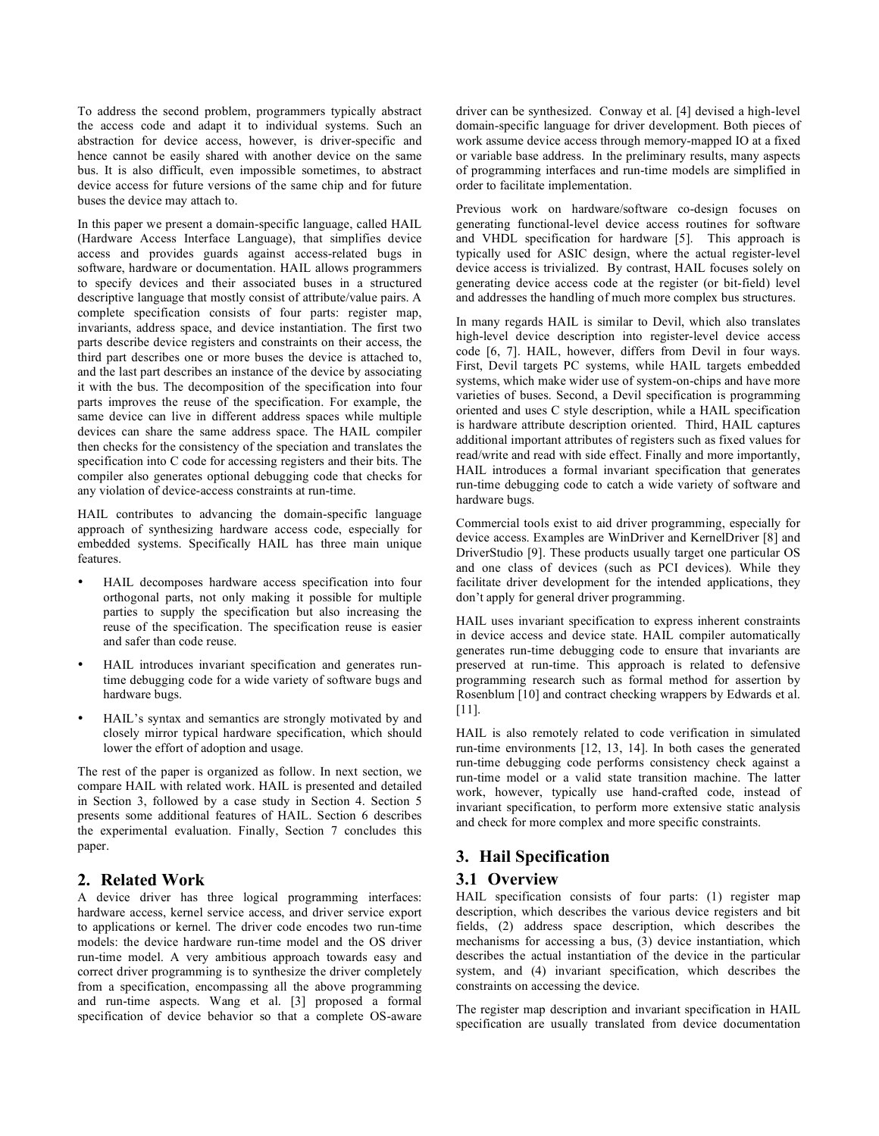To address the second problem, programmers typically abstract the access code and adapt it to individual systems. Such an abstraction for device access, however, is driver-specific and hence cannot be easily shared with another device on the same bus. It is also difficult, even impossible sometimes, to abstract device access for future versions of the same chip and for future buses the device may attach to.

In this paper we present a domain-specific language, called HAIL (Hardware Access Interface Language), that simplifies device access and provides guards against access-related bugs in software, hardware or documentation. HAIL allows programmers to specify devices and their associated buses in a structured descriptive language that mostly consist of attribute/value pairs. A complete specification consists of four parts: register map, invariants, address space, and device instantiation. The first two parts describe device registers and constraints on their access, the third part describes one or more buses the device is attached to, and the last part describes an instance of the device by associating it with the bus. The decomposition of the specification into four parts improves the reuse of the specification. For example, the same device can live in different address spaces while multiple devices can share the same address space. The HAIL compiler then checks for the consistency of the speciation and translates the specification into C code for accessing registers and their bits. The compiler also generates optional debugging code that checks for any violation of device-access constraints at run-time.

HAIL contributes to advancing the domain-specific language approach of synthesizing hardware access code, especially for embedded systems. Specifically HAIL has three main unique features.

- HAIL decomposes hardware access specification into four orthogonal parts, not only making it possible for multiple parties to supply the specification but also increasing the reuse of the specification. The specification reuse is easier and safer than code reuse.
- HAIL introduces invariant specification and generates runtime debugging code for a wide variety of software bugs and hardware bugs.
- HAIL's syntax and semantics are strongly motivated by and closely mirror typical hardware specification, which should lower the effort of adoption and usage.

The rest of the paper is organized as follow. In next section, we compare HAIL with related work. HAIL is presented and detailed in Section 3, followed by a case study in Section 4. Section 5 presents some additional features of HAIL. Section 6 describes the experimental evaluation. Finally, Section 7 concludes this paper.

# **2. Related Work**

A device driver has three logical programming interfaces: hardware access, kernel service access, and driver service export to applications or kernel. The driver code encodes two run-time models: the device hardware run-time model and the OS driver run-time model. A very ambitious approach towards easy and correct driver programming is to synthesize the driver completely from a specification, encompassing all the above programming and run-time aspects. Wang et al. [3] proposed a formal specification of device behavior so that a complete OS-aware driver can be synthesized. Conway et al. [4] devised a high-level domain-specific language for driver development. Both pieces of work assume device access through memory-mapped IO at a fixed or variable base address. In the preliminary results, many aspects of programming interfaces and run-time models are simplified in order to facilitate implementation.

Previous work on hardware/software co-design focuses on generating functional-level device access routines for software and VHDL specification for hardware [5]. This approach is typically used for ASIC design, where the actual register-level device access is trivialized. By contrast, HAIL focuses solely on generating device access code at the register (or bit-field) level and addresses the handling of much more complex bus structures.

In many regards HAIL is similar to Devil, which also translates high-level device description into register-level device access code [6, 7]. HAIL, however, differs from Devil in four ways. First, Devil targets PC systems, while HAIL targets embedded systems, which make wider use of system-on-chips and have more varieties of buses. Second, a Devil specification is programming oriented and uses C style description, while a HAIL specification is hardware attribute description oriented. Third, HAIL captures additional important attributes of registers such as fixed values for read/write and read with side effect. Finally and more importantly, HAIL introduces a formal invariant specification that generates run-time debugging code to catch a wide variety of software and hardware bugs.

Commercial tools exist to aid driver programming, especially for device access. Examples are WinDriver and KernelDriver [8] and DriverStudio [9]. These products usually target one particular OS and one class of devices (such as PCI devices). While they facilitate driver development for the intended applications, they don't apply for general driver programming.

HAIL uses invariant specification to express inherent constraints in device access and device state. HAIL compiler automatically generates run-time debugging code to ensure that invariants are preserved at run-time. This approach is related to defensive programming research such as formal method for assertion by Rosenblum [10] and contract checking wrappers by Edwards et al. [11].

HAIL is also remotely related to code verification in simulated run-time environments [12, 13, 14]. In both cases the generated run-time debugging code performs consistency check against a run-time model or a valid state transition machine. The latter work, however, typically use hand-crafted code, instead of invariant specification, to perform more extensive static analysis and check for more complex and more specific constraints.

# **3. Hail Specification**

# **3.1 Overview**

HAIL specification consists of four parts: (1) register map description, which describes the various device registers and bit fields, (2) address space description, which describes the mechanisms for accessing a bus, (3) device instantiation, which describes the actual instantiation of the device in the particular system, and (4) invariant specification, which describes the constraints on accessing the device.

The register map description and invariant specification in HAIL specification are usually translated from device documentation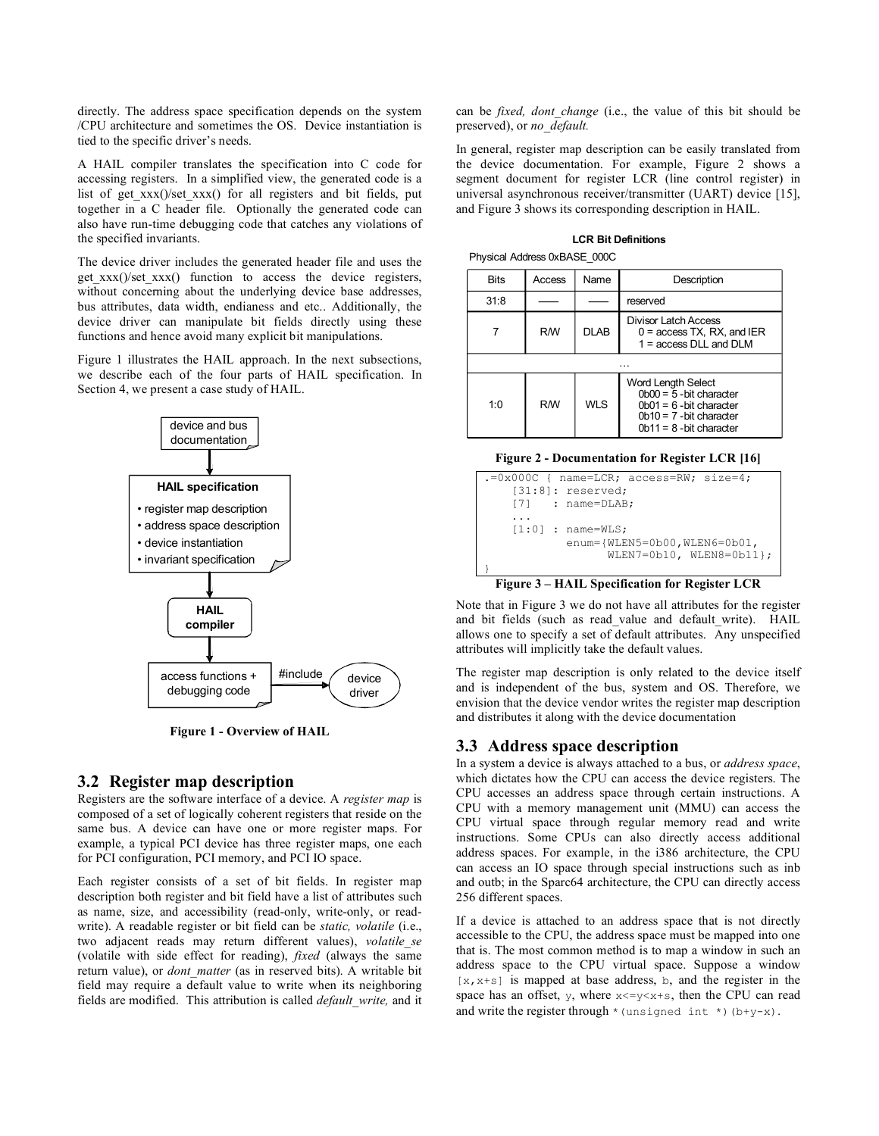directly. The address space specification depends on the system /CPU architecture and sometimes the OS. Device instantiation is tied to the specific driver's needs.

A HAIL compiler translates the specification into C code for accessing registers. In a simplified view, the generated code is a list of get  $xxx()$ /set  $xxx()$  for all registers and bit fields, put together in a C header file. Optionally the generated code can also have run-time debugging code that catches any violations of the specified invariants.

The device driver includes the generated header file and uses the get  $xxx()$ /set  $xxx()$  function to access the device registers, without concerning about the underlying device base addresses, bus attributes, data width, endianess and etc.. Additionally, the device driver can manipulate bit fields directly using these functions and hence avoid many explicit bit manipulations.

Figure 1 illustrates the HAIL approach. In the next subsections, we describe each of the four parts of HAIL specification. In Section 4, we present a case study of HAIL.



**Figure 1 - Overview of HAIL**

### **3.2 Register map description**

Registers are the software interface of a device. A *register map* is composed of a set of logically coherent registers that reside on the same bus. A device can have one or more register maps. For example, a typical PCI device has three register maps, one each for PCI configuration, PCI memory, and PCI IO space.

Each register consists of a set of bit fields. In register map description both register and bit field have a list of attributes such as name, size, and accessibility (read-only, write-only, or readwrite). A readable register or bit field can be *static, volatile* (i.e., two adjacent reads may return different values), *volatile\_se* (volatile with side effect for reading), *fixed* (always the same return value), or *dont\_matter* (as in reserved bits). A writable bit field may require a default value to write when its neighboring fields are modified. This attribution is called *default\_write,* and it

can be *fixed, dont\_change* (i.e., the value of this bit should be preserved), or *no\_default.*

In general, register map description can be easily translated from the device documentation. For example, Figure 2 shows a segment document for register LCR (line control register) in universal asynchronous receiver/transmitter (UART) device [15], and Figure 3 shows its corresponding description in HAIL.

| <b>Bits</b> | Access    | Name        | Description                                                                                                                             |  |  |  |
|-------------|-----------|-------------|-----------------------------------------------------------------------------------------------------------------------------------------|--|--|--|
| 31:8        |           |             | reserved                                                                                                                                |  |  |  |
|             | <b>RM</b> | <b>DLAB</b> | Divisor Latch Access<br>$0 =$ access TX, RX, and IER<br>$1 =$ access DLL and DLM                                                        |  |  |  |
|             |           |             |                                                                                                                                         |  |  |  |
| 1:0         | <b>RM</b> | WI S        | Word Length Select<br>$0b00 = 5$ - bit character<br>$0b01 = 6$ -bit character<br>$0b10 = 7$ -bit character<br>$0b11 = 8$ -bit character |  |  |  |

**LCR Bit Definitions** Physical Address 0xBASE\_000C

#### **Figure 2 - Documentation for Register LCR [16]**



#### **Figure 3 – HAIL Specification for Register LCR**

Note that in Figure 3 we do not have all attributes for the register and bit fields (such as read value and default write). HAIL allows one to specify a set of default attributes. Any unspecified attributes will implicitly take the default values.

The register map description is only related to the device itself and is independent of the bus, system and OS. Therefore, we envision that the device vendor writes the register map description and distributes it along with the device documentation

# **3.3 Address space description**

In a system a device is always attached to a bus, or *address space*, which dictates how the CPU can access the device registers. The CPU accesses an address space through certain instructions. A CPU with a memory management unit (MMU) can access the CPU virtual space through regular memory read and write instructions. Some CPUs can also directly access additional address spaces. For example, in the i386 architecture, the CPU can access an IO space through special instructions such as inb and outb; in the Sparc64 architecture, the CPU can directly access 256 different spaces.

If a device is attached to an address space that is not directly accessible to the CPU, the address space must be mapped into one that is. The most common method is to map a window in such an address space to the CPU virtual space. Suppose a window  $[x, x+s]$  is mapped at base address, b, and the register in the space has an offset, y, where  $x \le y \le x + s$ , then the CPU can read and write the register through  $*($  unsigned int  $*)$  (b+y-x).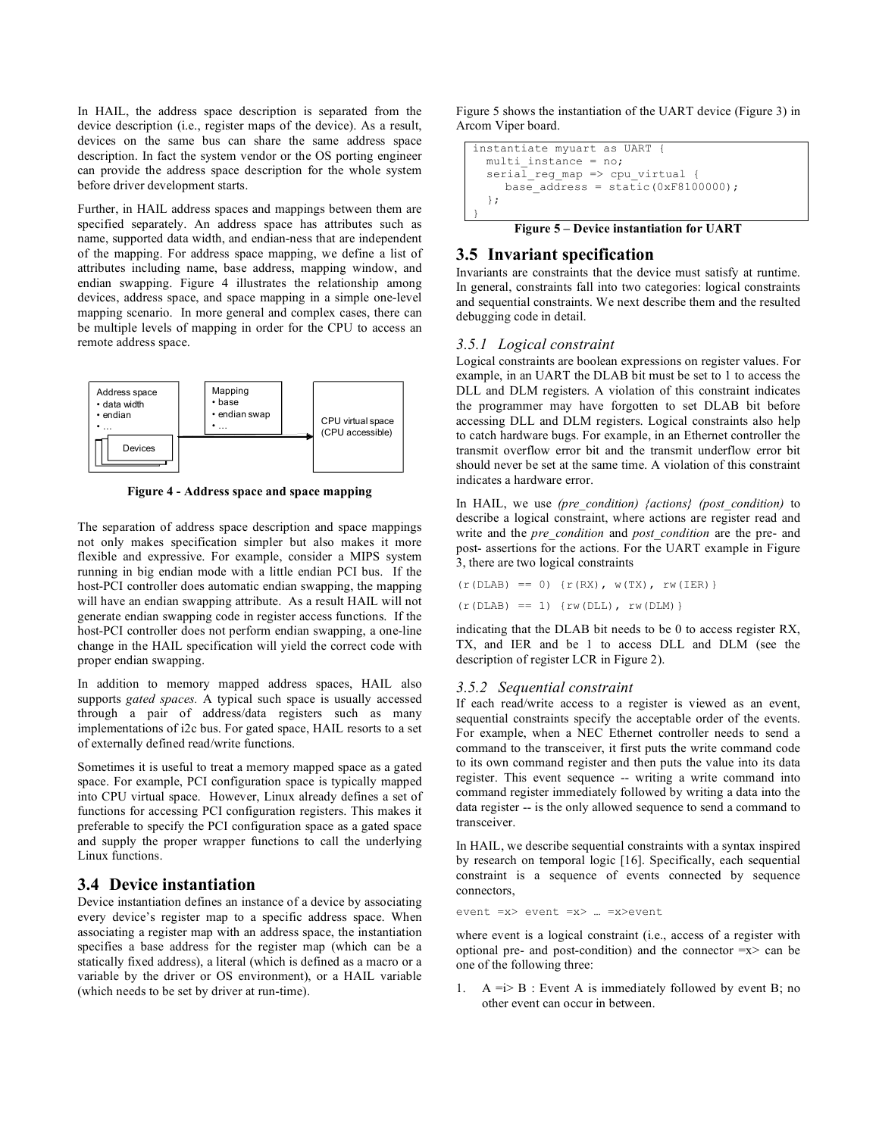In HAIL, the address space description is separated from the device description (i.e., register maps of the device). As a result, devices on the same bus can share the same address space description. In fact the system vendor or the OS porting engineer can provide the address space description for the whole system before driver development starts.

Further, in HAIL address spaces and mappings between them are specified separately. An address space has attributes such as name, supported data width, and endian-ness that are independent of the mapping. For address space mapping, we define a list of attributes including name, base address, mapping window, and endian swapping. Figure 4 illustrates the relationship among devices, address space, and space mapping in a simple one-level mapping scenario. In more general and complex cases, there can be multiple levels of mapping in order for the CPU to access an remote address space.



**Figure 4 - Address space and space mapping**

The separation of address space description and space mappings not only makes specification simpler but also makes it more flexible and expressive. For example, consider a MIPS system running in big endian mode with a little endian PCI bus. If the host-PCI controller does automatic endian swapping, the mapping will have an endian swapping attribute. As a result HAIL will not generate endian swapping code in register access functions. If the host-PCI controller does not perform endian swapping, a one-line change in the HAIL specification will yield the correct code with proper endian swapping.

In addition to memory mapped address spaces, HAIL also supports *gated spaces.* A typical such space is usually accessed through a pair of address/data registers such as many implementations of i2c bus. For gated space, HAIL resorts to a set of externally defined read/write functions.

Sometimes it is useful to treat a memory mapped space as a gated space. For example, PCI configuration space is typically mapped into CPU virtual space. However, Linux already defines a set of functions for accessing PCI configuration registers. This makes it preferable to specify the PCI configuration space as a gated space and supply the proper wrapper functions to call the underlying Linux functions.

# **3.4 Device instantiation**

Device instantiation defines an instance of a device by associating every device's register map to a specific address space. When associating a register map with an address space, the instantiation specifies a base address for the register map (which can be a statically fixed address), a literal (which is defined as a macro or a variable by the driver or OS environment), or a HAIL variable (which needs to be set by driver at run-time).

Figure 5 shows the instantiation of the UART device (Figure 3) in Arcom Viper board.

```
instantiate myuart as UART {
 multi instance = no;seria\bar{l} reg map => cpu virtual {
    base adress = static(0xF8100000);
  };
}
```
### **Figure 5 – Device instantiation for UART**

### **3.5 Invariant specification**

Invariants are constraints that the device must satisfy at runtime. In general, constraints fall into two categories: logical constraints and sequential constraints. We next describe them and the resulted debugging code in detail.

#### *3.5.1 Logical constraint*

Logical constraints are boolean expressions on register values. For example, in an UART the DLAB bit must be set to 1 to access the DLL and DLM registers. A violation of this constraint indicates the programmer may have forgotten to set DLAB bit before accessing DLL and DLM registers. Logical constraints also help to catch hardware bugs. For example, in an Ethernet controller the transmit overflow error bit and the transmit underflow error bit should never be set at the same time. A violation of this constraint indicates a hardware error.

In HAIL, we use *(pre\_condition) {actions} (post\_condition)* to describe a logical constraint, where actions are register read and write and the *pre\_condition* and *post\_condition* are the pre- and post- assertions for the actions. For the UART example in Figure 3, there are two logical constraints

```
(r(DLAB) == 0) (r(RX), w(TX), rw(IER))(r(DLAB) == 1) \{rw(DLL), rw(DLM)\}\
```
indicating that the DLAB bit needs to be 0 to access register RX, TX, and IER and be 1 to access DLL and DLM (see the description of register LCR in Figure 2).

#### *3.5.2 Sequential constraint*

If each read/write access to a register is viewed as an event, sequential constraints specify the acceptable order of the events. For example, when a NEC Ethernet controller needs to send a command to the transceiver, it first puts the write command code to its own command register and then puts the value into its data register. This event sequence -- writing a write command into command register immediately followed by writing a data into the data register -- is the only allowed sequence to send a command to transceiver.

In HAIL, we describe sequential constraints with a syntax inspired by research on temporal logic [16]. Specifically, each sequential constraint is a sequence of events connected by sequence connectors,

event =x> event =x> … =x>event

where event is a logical constraint (i.e., access of a register with optional pre- and post-condition) and the connector  $=x$  can be one of the following three:

 $A = i > B$ : Event A is immediately followed by event B; no other event can occur in between.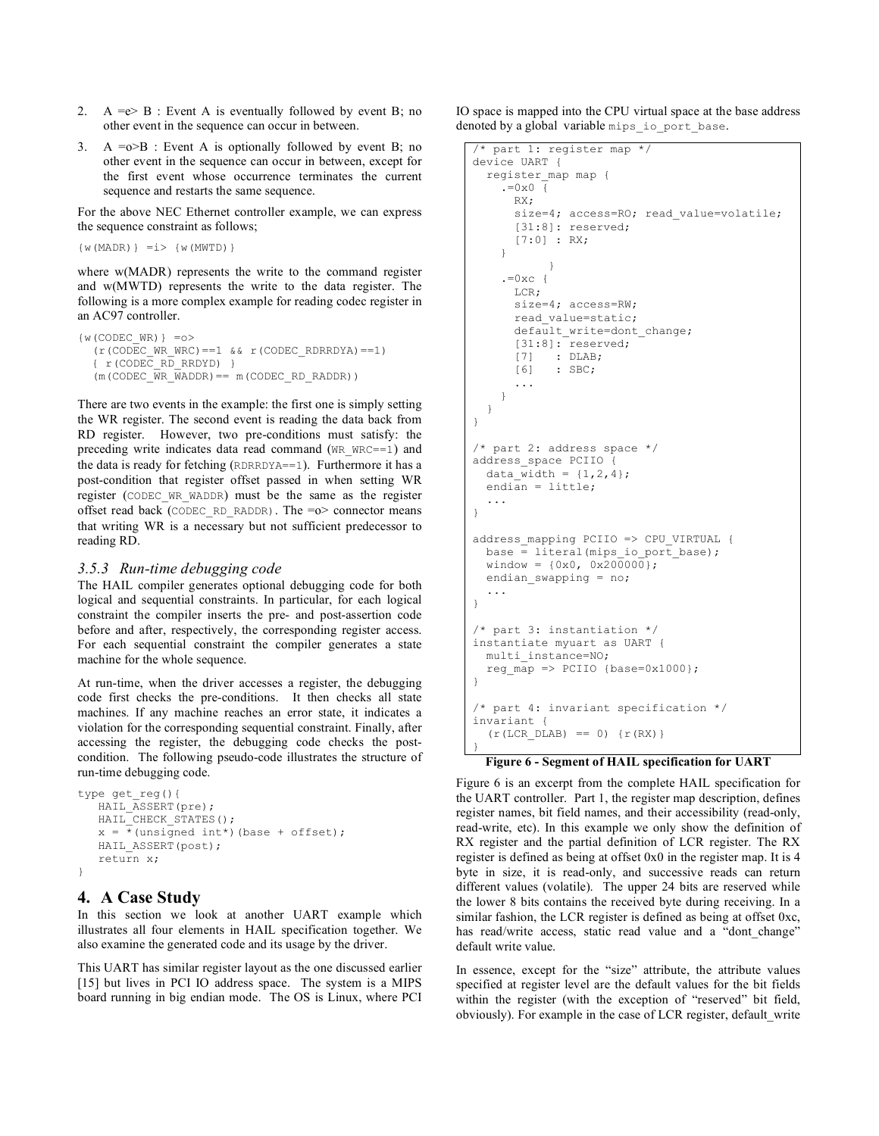- 2. A =e> B : Event A is eventually followed by event B; no other event in the sequence can occur in between.
- 3. A  $=\infty$ B : Event A is optionally followed by event B; no other event in the sequence can occur in between, except for the first event whose occurrence terminates the current sequence and restarts the same sequence.

For the above NEC Ethernet controller example, we can express the sequence constraint as follows;

```
\{w(MADR)\} = i > \{w(MWTD)\}
```
where w(MADR) represents the write to the command register and w(MWTD) represents the write to the data register. The following is a more complex example for reading codec register in an AC97 controller.

```
\{w(CODEC WR) } = o >
  (r(CODECWRWRC) == 1 & r(CODEC_RDRRDYA) == 1){ r(CODEC_RD_RRDYD) }
  (m(CODEC\ \overline{WR}\ \overline{WADDR}) == m(CODEC\ RD\ RADDR))
```
There are two events in the example: the first one is simply setting the WR register. The second event is reading the data back from RD register. However, two pre-conditions must satisfy: the preceding write indicates data read command (WR\_WRC==1) and the data is ready for fetching (RDRRDYA==1). Furthermore it has a post-condition that register offset passed in when setting WR register (CODEC\_WR\_WADDR) must be the same as the register offset read back (CODEC\_RD\_RADDR). The  $=o$ > connector means that writing WR is a necessary but not sufficient predecessor to reading RD.

### *3.5.3 Run-time debugging code*

The HAIL compiler generates optional debugging code for both logical and sequential constraints. In particular, for each logical constraint the compiler inserts the pre- and post-assertion code before and after, respectively, the corresponding register access. For each sequential constraint the compiler generates a state machine for the whole sequence.

At run-time, when the driver accesses a register, the debugging code first checks the pre-conditions. It then checks all state machines. If any machine reaches an error state, it indicates a violation for the corresponding sequential constraint. Finally, after accessing the register, the debugging code checks the postcondition. The following pseudo-code illustrates the structure of run-time debugging code.

```
type get_reg(){
   HAIL ASSERT(pre);
   HAIL_CHECK STATES();
   x = *(unsigned int*)(base + offset);
   HAIL ASSERT(post);
   return x;
}
```
# **4. A Case Study**

In this section we look at another UART example which illustrates all four elements in HAIL specification together. We also examine the generated code and its usage by the driver.

This UART has similar register layout as the one discussed earlier [15] but lives in PCI IO address space. The system is a MIPS board running in big endian mode. The OS is Linux, where PCI

IO space is mapped into the CPU virtual space at the base address denoted by a global variable mips io port base.

```
/* part 1: register map */
device UART {
  register_map map {
    . = 0 \times 0 {
      RX;
      size=4; access=RO; read value=volatile;
       [31:8]: reserved;
      [7:0] : RX;
    }
            }
    . =0 \times c {
      LCR;
      size=4; access=RW;
      read_value=static;
      default_write=dont_change;
      [31:8]: reserved;
      [7] : DLAB;
      [6] : SBC;
      ...
    }
  }
}
/* part 2: address space */
address_space PCIIO {
  data width = \{1, 2, 4\};
  endian = little;
  ...
}
address mapping PCIIO => CPU VIRTUAL {
  base = literal(mips io port base);
  window = {0x0, 0x200000};
  endian swapping = no;
  ...
}
/* part 3: instantiation */
instantiate myuart as UART {
 multi_instance=NO;
  reg map \Rightarrow PCIIO {base=0x1000};
}
/* part 4: invariant specification */
invariant {
  (r(LCR\; DLAB) == 0) {r(RX)}
}
```
**Figure 6 - Segment of HAIL specification for UART**

Figure 6 is an excerpt from the complete HAIL specification for the UART controller. Part 1, the register map description, defines register names, bit field names, and their accessibility (read-only, read-write, etc). In this example we only show the definition of RX register and the partial definition of LCR register. The RX register is defined as being at offset 0x0 in the register map. It is 4 byte in size, it is read-only, and successive reads can return different values (volatile). The upper 24 bits are reserved while the lower 8 bits contains the received byte during receiving. In a similar fashion, the LCR register is defined as being at offset 0xc, has read/write access, static read value and a "dont change" default write value.

In essence, except for the "size" attribute, the attribute values specified at register level are the default values for the bit fields within the register (with the exception of "reserved" bit field, obviously). For example in the case of LCR register, default\_write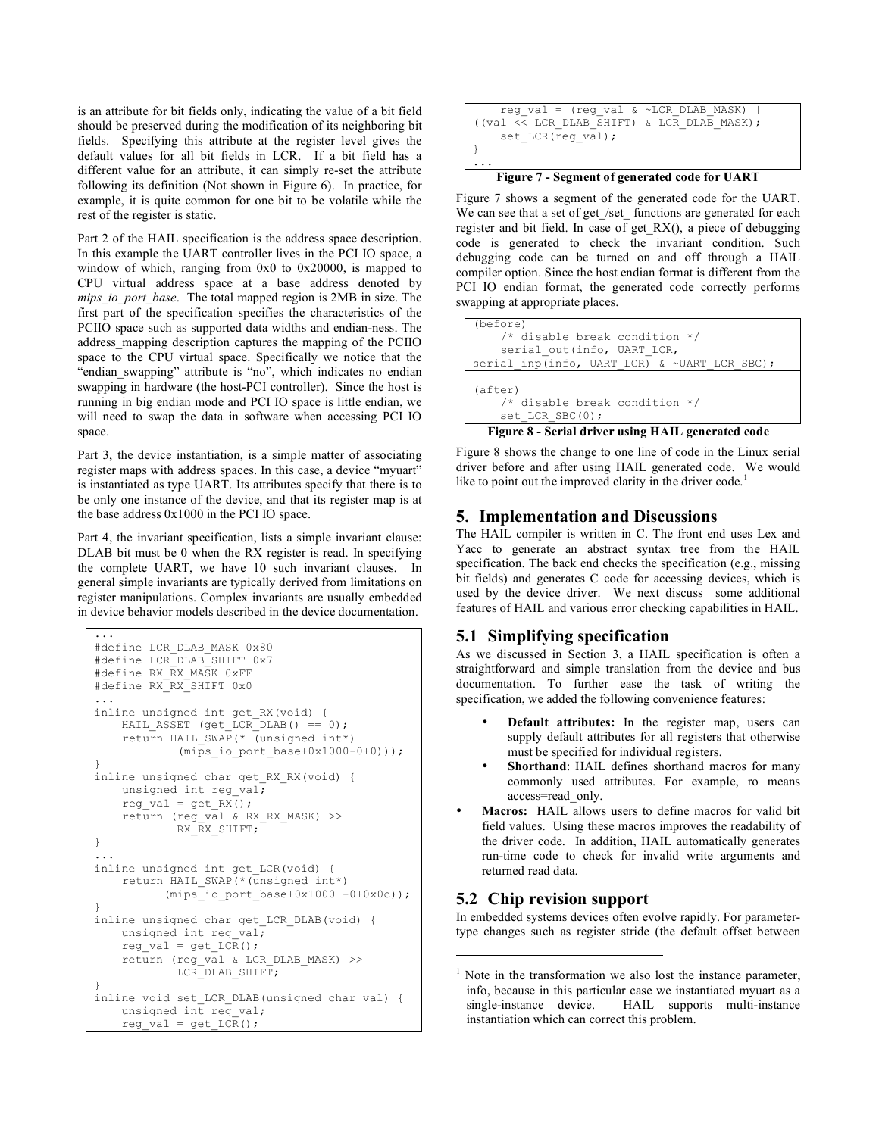is an attribute for bit fields only, indicating the value of a bit field should be preserved during the modification of its neighboring bit fields. Specifying this attribute at the register level gives the default values for all bit fields in LCR. If a bit field has a different value for an attribute, it can simply re-set the attribute following its definition (Not shown in Figure 6). In practice, for example, it is quite common for one bit to be volatile while the rest of the register is static.

Part 2 of the HAIL specification is the address space description. In this example the UART controller lives in the PCI IO space, a window of which, ranging from 0x0 to 0x20000, is mapped to CPU virtual address space at a base address denoted by *mips\_io\_port\_base*. The total mapped region is 2MB in size. The first part of the specification specifies the characteristics of the PCIIO space such as supported data widths and endian-ness. The address\_mapping description captures the mapping of the PCIIO space to the CPU virtual space. Specifically we notice that the "endian swapping" attribute is "no", which indicates no endian swapping in hardware (the host-PCI controller). Since the host is running in big endian mode and PCI IO space is little endian, we will need to swap the data in software when accessing PCI IO space.

Part 3, the device instantiation, is a simple matter of associating register maps with address spaces. In this case, a device "myuart" is instantiated as type UART. Its attributes specify that there is to be only one instance of the device, and that its register map is at the base address 0x1000 in the PCI IO space.

Part 4, the invariant specification, lists a simple invariant clause: DLAB bit must be 0 when the RX register is read. In specifying the complete UART, we have 10 such invariant clauses. In general simple invariants are typically derived from limitations on register manipulations. Complex invariants are usually embedded in device behavior models described in the device documentation.

```
...
#define LCR_DLAB_MASK 0x80
#define LCR_DLAB_SHIFT 0x7
#define RX_RX_MASK 0xFF
#define RX_RX_SHIFT 0x0
...
inline unsigned int get_RX(void) {
   HAIL ASSET (get LCR_DLAB() == 0);
    return HAIL_SWAP(* (unsigned int*)
            (mips io port base+0x1000-0+0)));
}
inline unsigned char get RX RX(void) {
   unsigned int reg_val;
    reg val = get RX();
    return (reg_val & RX_RX_MASK) >>
            RX RX SHIFT;
}
...
inline unsigned int get_LCR(void) {
   return HAIL_SWAP(*(unsigned int*)
          (mips io port base+0x1000 -0+0x0c));
}
inline unsigned char get_LCR_DLAB(void) {
   unsigned int reg val;
    reg_val = get_LCR();
   return (reg_val & LCR_DLAB_MASK) >>
            LCR DLAB SHIFT;
}
inline void set_LCR_DLAB(unsigned char val) {
   unsigned int reg val;
    reg_val = get LCR();
```

```
reg_val = (reg_val & ~LCR_DLAB_MASK) |
((val << LCR_DLAB_SHIFT) & LCR_DLAB_MASK);set LCR(reg_val);
}
...
```
**Figure 7 - Segment of generated code for UART**

Figure 7 shows a segment of the generated code for the UART. We can see that a set of get\_/set\_ functions are generated for each register and bit field. In case of get\_RX(), a piece of debugging code is generated to check the invariant condition. Such debugging code can be turned on and off through a HAIL compiler option. Since the host endian format is different from the PCI IO endian format, the generated code correctly performs swapping at appropriate places.



**Figure 8 - Serial driver using HAIL generated code**

Figure 8 shows the change to one line of code in the Linux serial driver before and after using HAIL generated code. We would like to point out the improved clarity in the driver code.<sup>1</sup>

# **5. Implementation and Discussions**

The HAIL compiler is written in C. The front end uses Lex and Yacc to generate an abstract syntax tree from the HAIL specification. The back end checks the specification (e.g., missing bit fields) and generates C code for accessing devices, which is used by the device driver. We next discuss some additional features of HAIL and various error checking capabilities in HAIL.

# **5.1 Simplifying specification**

As we discussed in Section 3, a HAIL specification is often a straightforward and simple translation from the device and bus documentation. To further ease the task of writing the specification, we added the following convenience features:

- **Default attributes:** In the register map, users can supply default attributes for all registers that otherwise must be specified for individual registers.
- Shorthand: HAIL defines shorthand macros for many commonly used attributes. For example, ro means access=read\_only.
- **Macros:** HAIL allows users to define macros for valid bit field values. Using these macros improves the readability of the driver code. In addition, HAIL automatically generates run-time code to check for invalid write arguments and returned read data.

# **5.2 Chip revision support**

1

In embedded systems devices often evolve rapidly. For parametertype changes such as register stride (the default offset between

 $1$  Note in the transformation we also lost the instance parameter, info, because in this particular case we instantiated myuart as a single-instance device. HAIL supports multi-instance instantiation which can correct this problem.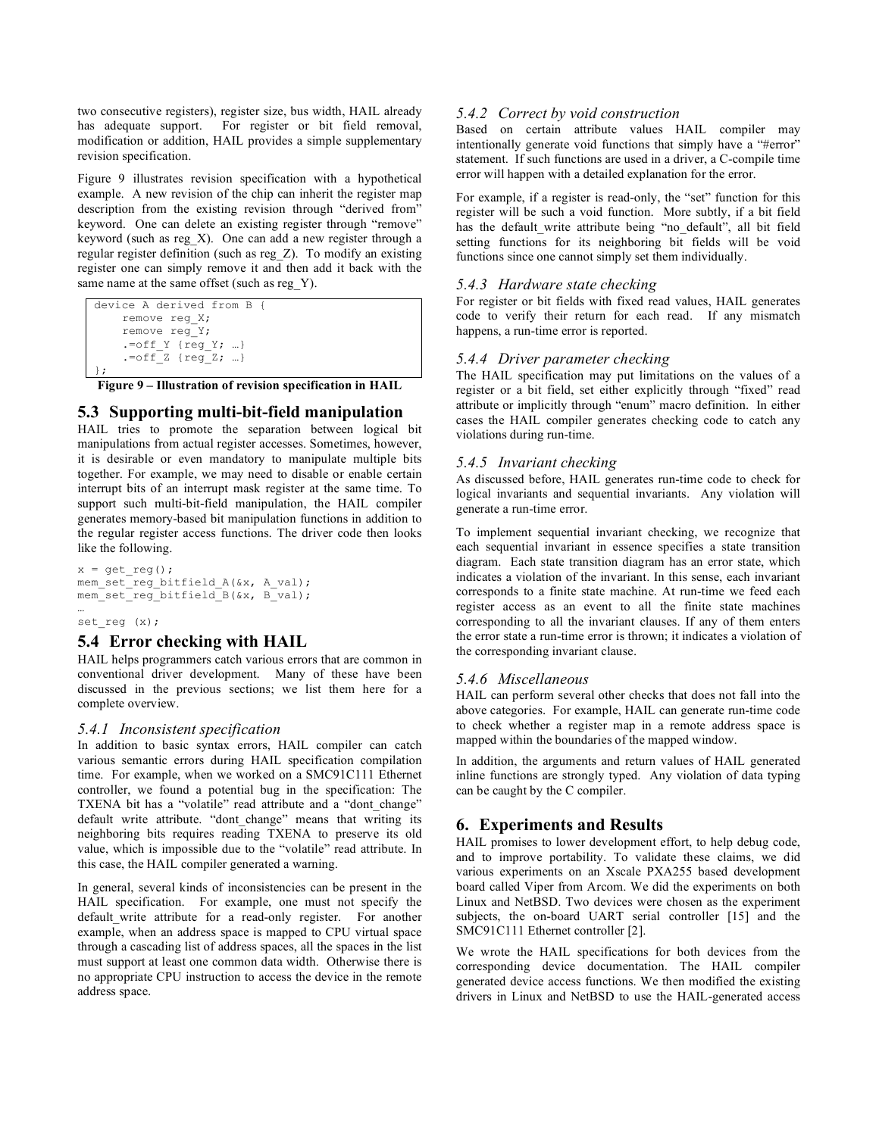two consecutive registers), register size, bus width, HAIL already has adequate support. For register or bit field removal, modification or addition, HAIL provides a simple supplementary revision specification.

Figure 9 illustrates revision specification with a hypothetical example. A new revision of the chip can inherit the register map description from the existing revision through "derived from" keyword. One can delete an existing register through "remove" keyword (such as reg\_X). One can add a new register through a regular register definition (such as reg\_Z). To modify an existing register one can simply remove it and then add it back with the same name at the same offset (such as reg\_Y).

```
device A derived from B {
    remove reg_X;
    remove reg_Y;
    .=off Y {req Y; …}
    .-offZ {regZ; …}
};
```
**Figure 9 – Illustration of revision specification in HAIL**

# **5.3 Supporting multi-bit-field manipulation**

HAIL tries to promote the separation between logical bit manipulations from actual register accesses. Sometimes, however, it is desirable or even mandatory to manipulate multiple bits together. For example, we may need to disable or enable certain interrupt bits of an interrupt mask register at the same time. To support such multi-bit-field manipulation, the HAIL compiler generates memory-based bit manipulation functions in addition to the regular register access functions. The driver code then looks like the following.

```
x = get_reg();mem_set_reg_bitfield_A(&x, A_val);
mem_set_reg_bitfield_B(&x, B_val);
…
```
#### set\_reg (x);

# **5.4 Error checking with HAIL**

HAIL helps programmers catch various errors that are common in conventional driver development. Many of these have been discussed in the previous sections; we list them here for a complete overview.

### *5.4.1 Inconsistent specification*

In addition to basic syntax errors, HAIL compiler can catch various semantic errors during HAIL specification compilation time. For example, when we worked on a SMC91C111 Ethernet controller, we found a potential bug in the specification: The TXENA bit has a "volatile" read attribute and a "dont change" default write attribute. "dont\_change" means that writing its neighboring bits requires reading TXENA to preserve its old value, which is impossible due to the "volatile" read attribute. In this case, the HAIL compiler generated a warning.

In general, several kinds of inconsistencies can be present in the HAIL specification. For example, one must not specify the default write attribute for a read-only register. For another example, when an address space is mapped to CPU virtual space through a cascading list of address spaces, all the spaces in the list must support at least one common data width. Otherwise there is no appropriate CPU instruction to access the device in the remote address space.

### *5.4.2 Correct by void construction*

Based on certain attribute values HAIL compiler may intentionally generate void functions that simply have a "#error" statement. If such functions are used in a driver, a C-compile time error will happen with a detailed explanation for the error.

For example, if a register is read-only, the "set" function for this register will be such a void function. More subtly, if a bit field has the default write attribute being "no default", all bit field setting functions for its neighboring bit fields will be void functions since one cannot simply set them individually.

### *5.4.3 Hardware state checking*

For register or bit fields with fixed read values, HAIL generates code to verify their return for each read. If any mismatch happens, a run-time error is reported.

### *5.4.4 Driver parameter checking*

The HAIL specification may put limitations on the values of a register or a bit field, set either explicitly through "fixed" read attribute or implicitly through "enum" macro definition. In either cases the HAIL compiler generates checking code to catch any violations during run-time.

### *5.4.5 Invariant checking*

As discussed before, HAIL generates run-time code to check for logical invariants and sequential invariants. Any violation will generate a run-time error.

To implement sequential invariant checking, we recognize that each sequential invariant in essence specifies a state transition diagram. Each state transition diagram has an error state, which indicates a violation of the invariant. In this sense, each invariant corresponds to a finite state machine. At run-time we feed each register access as an event to all the finite state machines corresponding to all the invariant clauses. If any of them enters the error state a run-time error is thrown; it indicates a violation of the corresponding invariant clause.

### *5.4.6 Miscellaneous*

HAIL can perform several other checks that does not fall into the above categories. For example, HAIL can generate run-time code to check whether a register map in a remote address space is mapped within the boundaries of the mapped window.

In addition, the arguments and return values of HAIL generated inline functions are strongly typed. Any violation of data typing can be caught by the C compiler.

# **6. Experiments and Results**

HAIL promises to lower development effort, to help debug code, and to improve portability. To validate these claims, we did various experiments on an Xscale PXA255 based development board called Viper from Arcom. We did the experiments on both Linux and NetBSD. Two devices were chosen as the experiment subjects, the on-board UART serial controller [15] and the SMC91C111 Ethernet controller [2].

We wrote the HAIL specifications for both devices from the corresponding device documentation. The HAIL compiler generated device access functions. We then modified the existing drivers in Linux and NetBSD to use the HAIL-generated access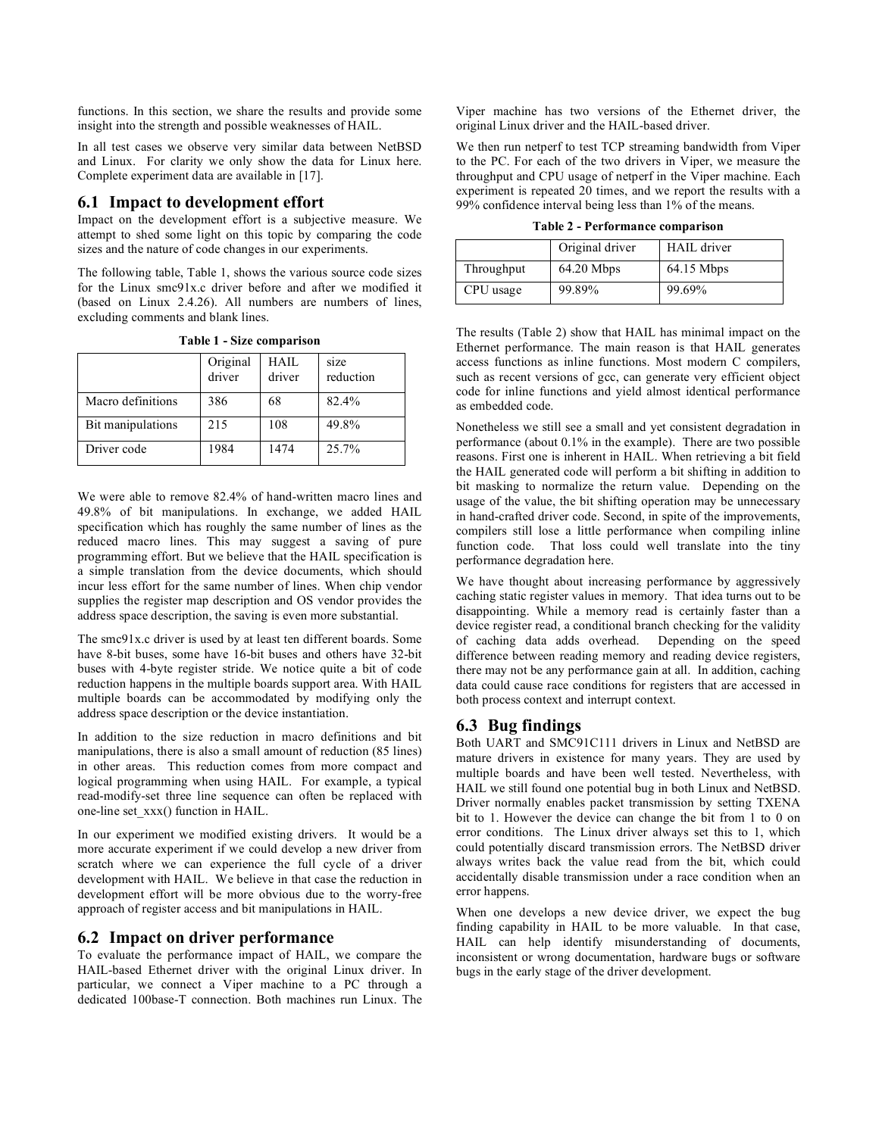functions. In this section, we share the results and provide some insight into the strength and possible weaknesses of HAIL.

In all test cases we observe very similar data between NetBSD and Linux. For clarity we only show the data for Linux here. Complete experiment data are available in [17].

# **6.1 Impact to development effort**

Impact on the development effort is a subjective measure. We attempt to shed some light on this topic by comparing the code sizes and the nature of code changes in our experiments.

The following table, Table 1, shows the various source code sizes for the Linux smc91x.c driver before and after we modified it (based on Linux 2.4.26). All numbers are numbers of lines, excluding comments and blank lines.

|                   | Original<br>driver | HAIL<br>driver | size<br>reduction |
|-------------------|--------------------|----------------|-------------------|
| Macro definitions | 386                | 68             | 82.4%             |
| Bit manipulations | 215                | 108            | 49.8%             |
| Driver code       | 1984               | 1474           | $25.7\%$          |

**Table 1 - Size comparison**

We were able to remove 82.4% of hand-written macro lines and 49.8% of bit manipulations. In exchange, we added HAIL specification which has roughly the same number of lines as the reduced macro lines. This may suggest a saving of pure programming effort. But we believe that the HAIL specification is a simple translation from the device documents, which should incur less effort for the same number of lines. When chip vendor supplies the register map description and OS vendor provides the address space description, the saving is even more substantial.

The smc91x.c driver is used by at least ten different boards. Some have 8-bit buses, some have 16-bit buses and others have 32-bit buses with 4-byte register stride. We notice quite a bit of code reduction happens in the multiple boards support area. With HAIL multiple boards can be accommodated by modifying only the address space description or the device instantiation.

In addition to the size reduction in macro definitions and bit manipulations, there is also a small amount of reduction (85 lines) in other areas. This reduction comes from more compact and logical programming when using HAIL. For example, a typical read-modify-set three line sequence can often be replaced with one-line set\_xxx() function in HAIL.

In our experiment we modified existing drivers. It would be a more accurate experiment if we could develop a new driver from scratch where we can experience the full cycle of a driver development with HAIL. We believe in that case the reduction in development effort will be more obvious due to the worry-free approach of register access and bit manipulations in HAIL.

# **6.2 Impact on driver performance**

To evaluate the performance impact of HAIL, we compare the HAIL-based Ethernet driver with the original Linux driver. In particular, we connect a Viper machine to a PC through a dedicated 100base-T connection. Both machines run Linux. The Viper machine has two versions of the Ethernet driver, the original Linux driver and the HAIL-based driver.

We then run netperf to test TCP streaming bandwidth from Viper to the PC. For each of the two drivers in Viper, we measure the throughput and CPU usage of netperf in the Viper machine. Each experiment is repeated 20 times, and we report the results with a 99% confidence interval being less than 1% of the means.

|  | Table 2 - Performance comparison |  |
|--|----------------------------------|--|
|  |                                  |  |

|            | Original driver | <b>HAIL</b> driver |
|------------|-----------------|--------------------|
| Throughput | $64.20$ Mbps    | 64.15 Mbps         |
| CPU usage  | 99.89%          | 99.69%             |

The results (Table 2) show that HAIL has minimal impact on the Ethernet performance. The main reason is that HAIL generates access functions as inline functions. Most modern C compilers, such as recent versions of gcc, can generate very efficient object code for inline functions and yield almost identical performance as embedded code.

Nonetheless we still see a small and yet consistent degradation in performance (about 0.1% in the example). There are two possible reasons. First one is inherent in HAIL. When retrieving a bit field the HAIL generated code will perform a bit shifting in addition to bit masking to normalize the return value. Depending on the usage of the value, the bit shifting operation may be unnecessary in hand-crafted driver code. Second, in spite of the improvements, compilers still lose a little performance when compiling inline function code. That loss could well translate into the tiny performance degradation here.

We have thought about increasing performance by aggressively caching static register values in memory. That idea turns out to be disappointing. While a memory read is certainly faster than a device register read, a conditional branch checking for the validity of caching data adds overhead. Depending on the speed difference between reading memory and reading device registers, there may not be any performance gain at all. In addition, caching data could cause race conditions for registers that are accessed in both process context and interrupt context.

# **6.3 Bug findings**

Both UART and SMC91C111 drivers in Linux and NetBSD are mature drivers in existence for many years. They are used by multiple boards and have been well tested. Nevertheless, with HAIL we still found one potential bug in both Linux and NetBSD. Driver normally enables packet transmission by setting TXENA bit to 1. However the device can change the bit from 1 to 0 on error conditions. The Linux driver always set this to 1, which could potentially discard transmission errors. The NetBSD driver always writes back the value read from the bit, which could accidentally disable transmission under a race condition when an error happens.

When one develops a new device driver, we expect the bug finding capability in HAIL to be more valuable. In that case, HAIL can help identify misunderstanding of documents, inconsistent or wrong documentation, hardware bugs or software bugs in the early stage of the driver development.